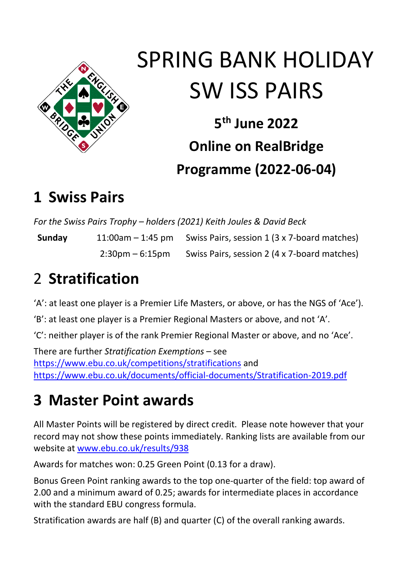

# SPRING BANK HOLIDAY SW ISS PAIRS

**5 th June 2022 Online on RealBridge Programme (2022-06-04)**

### **1 Swiss Pairs**

*For the Swiss Pairs Trophy – holders (2021) Keith Joules & David Beck*

**Sunday** 11:00am – 1:45 pm Swiss Pairs, session 1 (3 x 7-board matches) 2:30pm – 6:15pm Swiss Pairs, session 2 (4 x 7-board matches)

# 2 **Stratification**

'A': at least one player is a Premier Life Masters, or above, or has the NGS of 'Ace').

'B': at least one player is a Premier Regional Masters or above, and not 'A'.

'C': neither player is of the rank Premier Regional Master or above, and no 'Ace'.

There are further *Stratification Exemptions* – see <https://www.ebu.co.uk/competitions/stratifications> and <https://www.ebu.co.uk/documents/official-documents/Stratification-2019.pdf>

# **3 Master Point awards**

All Master Points will be registered by direct credit. Please note however that your record may not show these points immediately. Ranking lists are available from our website at [www.ebu.co.uk/results/938](http://www.ebu.co.uk/results/938)

Awards for matches won: 0.25 Green Point (0.13 for a draw).

Bonus Green Point ranking awards to the top one-quarter of the field: top award of 2.00 and a minimum award of 0.25; awards for intermediate places in accordance with the standard EBU congress formula.

Stratification awards are half (B) and quarter (C) of the overall ranking awards.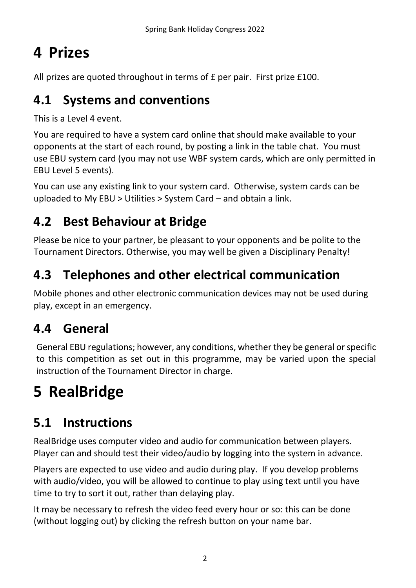# **4 Prizes**

All prizes are quoted throughout in terms of £ per pair. First prize £100.

#### **4.1 Systems and conventions**

This is a Level 4 event.

You are required to have a system card online that should make available to your opponents at the start of each round, by posting a link in the table chat. You must use EBU system card (you may not use WBF system cards, which are only permitted in EBU Level 5 events).

You can use any existing link to your system card. Otherwise, system cards can be uploaded to My EBU > Utilities > System Card – and obtain a link.

#### **4.2 Best Behaviour at Bridge**

Please be nice to your partner, be pleasant to your opponents and be polite to the Tournament Directors. Otherwise, you may well be given a Disciplinary Penalty!

#### **4.3 Telephones and other electrical communication**

Mobile phones and other electronic communication devices may not be used during play, except in an emergency.

#### **4.4 General**

General EBU regulations; however, any conditions, whether they be general or specific to this competition as set out in this programme, may be varied upon the special instruction of the Tournament Director in charge.

# **5 RealBridge**

#### **5.1 Instructions**

RealBridge uses computer video and audio for communication between players. Player can and should test their video/audio by logging into the system in advance.

Players are expected to use video and audio during play. If you develop problems with audio/video, you will be allowed to continue to play using text until you have time to try to sort it out, rather than delaying play.

It may be necessary to refresh the video feed every hour or so: this can be done (without logging out) by clicking the refresh button on your name bar.